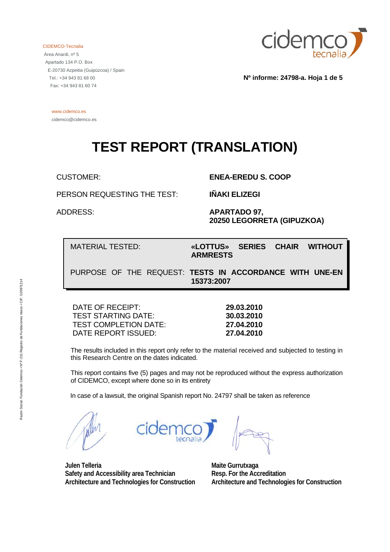CIDEMCO-Tecnalia

 Área Anardi, nº 5 Apartado 134 P.O. Box E-20730 Azpeitia (Guipúzcoa) / Spain Tel.: +34 943 81 68 00 Fax: +34 943 81 60 74



**Nº informe: 24798-a. Hoja 1 de 5** 

 www.cidemco.es cidemco@cidemco.es

# **TEST REPORT (TRANSLATION)**

CUSTOMER: **ENEA-EREDU S. COOP** 

PERSON REQUESTING THE TEST: **IÑAKI ELIZEGI**

 ADDRESS: **APARTADO 97, 20250 LEGORRETA (GIPUZKOA)** 

MATERIAL TESTED: **«LOTTUS» SERIES CHAIR WITHOUT ARMRESTS** 

PURPOSE OF THE REQUEST: **TESTS IN ACCORDANCE WITH UNE-EN 15373:2007**

DATE OF RECEIPT: **29.03.2010**  TEST STARTING DATE: **30.03.2010**  TEST COMPLETION DATE: **27.04.2010**  DATE REPORT ISSUED: **27.04.2010** 

 The results included in this report only refer to the material received and subjected to testing in this Research Centre on the dates indicated.

 This report contains five (5) pages and may not be reproduced without the express authorization of CIDEMCO, except where done so in its entirety

In case of a lawsuit, the original Spanish report No. 24797 shall be taken as reference

**Maite Gurrutxaga** 

**Julen Telleria Safety and Accessibility area Technician Architecture and Technologies for Construction** 

**Resp. For the Accreditation Architecture and Technologies for Construction**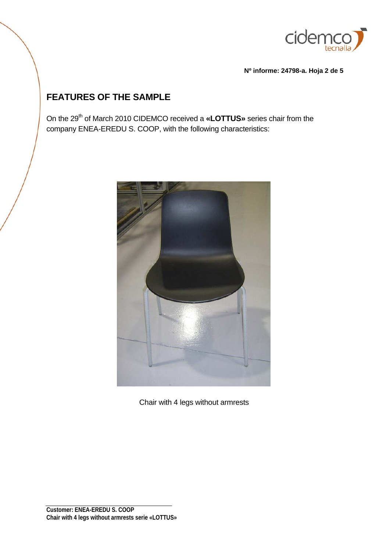

**Nº informe: 24798-a. Hoja 2 de 5** 

## **FEATURES OF THE SAMPLE**

On the 29<sup>th</sup> of March 2010 CIDEMCO received a «LOTTUS» series chair from the company ENEA-EREDU S. COOP, with the following characteristics:



Chair with 4 legs without armrests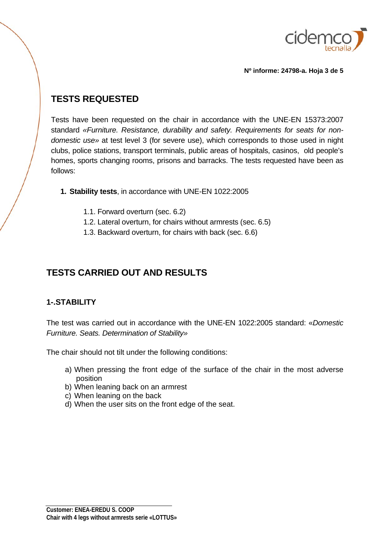

**Nº informe: 24798-a. Hoja 3 de 5** 

### **TESTS REQUESTED**

Tests have been requested on the chair in accordance with the UNE-EN 15373:2007 standard *«Furniture. Resistance, durability and safety. Requirements for seats for nondomestic use»* at test level 3 (for severe use), which corresponds to those used in night clubs, police stations, transport terminals, public areas of hospitals, casinos, old people's homes, sports changing rooms, prisons and barracks. The tests requested have been as follows:

- **1. Stability tests**, in accordance with UNE-EN 1022:2005
	- 1.1. Forward overturn (sec. 6.2)
	- 1.2. Lateral overturn, for chairs without armrests (sec. 6.5)
	- 1.3. Backward overturn, for chairs with back (sec. 6.6)

## **TESTS CARRIED OUT AND RESULTS**

#### **1-.STABILITY**

The test was carried out in accordance with the UNE-EN 1022:2005 standard: «*Domestic Furniture. Seats. Determination of Stability»*

The chair should not tilt under the following conditions:

- a) When pressing the front edge of the surface of the chair in the most adverse position
- b) When leaning back on an armrest
- c) When leaning on the back
- d) When the user sits on the front edge of the seat.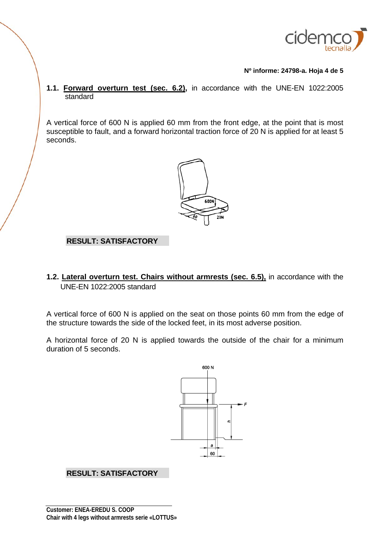

**Nº informe: 24798-a. Hoja 4 de 5** 

**1.1. Forward overturn test (sec. 6.2),** in accordance with the UNE-EN 1022:2005 standard

A vertical force of 600 N is applied 60 mm from the front edge, at the point that is most susceptible to fault, and a forward horizontal traction force of 20 N is applied for at least 5 seconds.



#### **RESULT: SATISFACTORY**

**1.2. Lateral overturn test. Chairs without armrests (sec. 6.5),** in accordance with the UNE-EN 1022:2005 standard

A vertical force of 600 N is applied on the seat on those points 60 mm from the edge of the structure towards the side of the locked feet, in its most adverse position.

A horizontal force of 20 N is applied towards the outside of the chair for a minimum duration of 5 seconds.



#### **RESULT: SATISFACTORY**